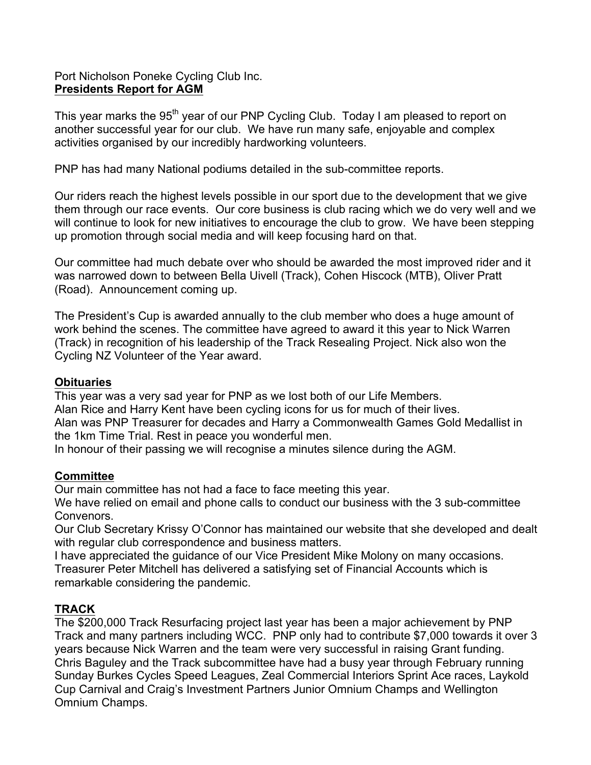### Port Nicholson Poneke Cycling Club Inc. **Presidents Report for AGM**

This year marks the 95<sup>th</sup> year of our PNP Cycling Club. Today I am pleased to report on another successful year for our club. We have run many safe, enjoyable and complex activities organised by our incredibly hardworking volunteers.

PNP has had many National podiums detailed in the sub-committee reports.

Our riders reach the highest levels possible in our sport due to the development that we give them through our race events. Our core business is club racing which we do very well and we will continue to look for new initiatives to encourage the club to grow. We have been stepping up promotion through social media and will keep focusing hard on that.

Our committee had much debate over who should be awarded the most improved rider and it was narrowed down to between Bella Uivell (Track), Cohen Hiscock (MTB), Oliver Pratt (Road). Announcement coming up.

The President's Cup is awarded annually to the club member who does a huge amount of work behind the scenes. The committee have agreed to award it this year to Nick Warren (Track) in recognition of his leadership of the Track Resealing Project. Nick also won the Cycling NZ Volunteer of the Year award.

### **Obituaries**

This year was a very sad year for PNP as we lost both of our Life Members. Alan Rice and Harry Kent have been cycling icons for us for much of their lives. Alan was PNP Treasurer for decades and Harry a Commonwealth Games Gold Medallist in the 1km Time Trial. Rest in peace you wonderful men.

In honour of their passing we will recognise a minutes silence during the AGM.

### **Committee**

Our main committee has not had a face to face meeting this year.

We have relied on email and phone calls to conduct our business with the 3 sub-committee Convenors.

Our Club Secretary Krissy O'Connor has maintained our website that she developed and dealt with regular club correspondence and business matters.

I have appreciated the guidance of our Vice President Mike Molony on many occasions. Treasurer Peter Mitchell has delivered a satisfying set of Financial Accounts which is remarkable considering the pandemic.

# **TRACK**

The \$200,000 Track Resurfacing project last year has been a major achievement by PNP Track and many partners including WCC. PNP only had to contribute \$7,000 towards it over 3 years because Nick Warren and the team were very successful in raising Grant funding. Chris Baguley and the Track subcommittee have had a busy year through February running Sunday Burkes Cycles Speed Leagues, Zeal Commercial Interiors Sprint Ace races, Laykold Cup Carnival and Craig's Investment Partners Junior Omnium Champs and Wellington Omnium Champs.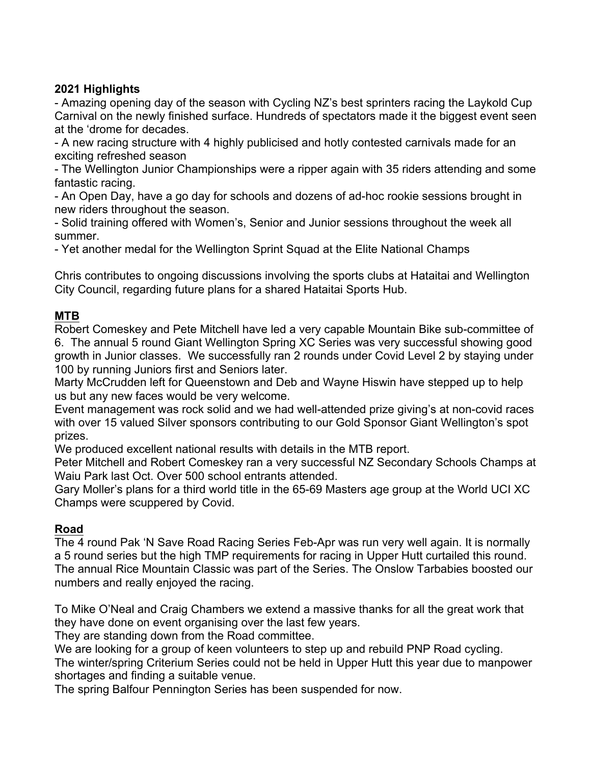### **2021 Highlights**

- Amazing opening day of the season with Cycling NZ's best sprinters racing the Laykold Cup Carnival on the newly finished surface. Hundreds of spectators made it the biggest event seen at the 'drome for decades.

- A new racing structure with 4 highly publicised and hotly contested carnivals made for an exciting refreshed season

- The Wellington Junior Championships were a ripper again with 35 riders attending and some fantastic racing.

- An Open Day, have a go day for schools and dozens of ad-hoc rookie sessions brought in new riders throughout the season.

- Solid training offered with Women's, Senior and Junior sessions throughout the week all summer.

- Yet another medal for the Wellington Sprint Squad at the Elite National Champs

Chris contributes to ongoing discussions involving the sports clubs at Hataitai and Wellington City Council, regarding future plans for a shared Hataitai Sports Hub.

# **MTB**

Robert Comeskey and Pete Mitchell have led a very capable Mountain Bike sub-committee of 6. The annual 5 round Giant Wellington Spring XC Series was very successful showing good growth in Junior classes. We successfully ran 2 rounds under Covid Level 2 by staying under 100 by running Juniors first and Seniors later.

Marty McCrudden left for Queenstown and Deb and Wayne Hiswin have stepped up to help us but any new faces would be very welcome.

Event management was rock solid and we had well-attended prize giving's at non-covid races with over 15 valued Silver sponsors contributing to our Gold Sponsor Giant Wellington's spot prizes.

We produced excellent national results with details in the MTB report.

Peter Mitchell and Robert Comeskey ran a very successful NZ Secondary Schools Champs at Waiu Park last Oct. Over 500 school entrants attended.

Gary Moller's plans for a third world title in the 65-69 Masters age group at the World UCI XC Champs were scuppered by Covid.

# **Road**

The 4 round Pak 'N Save Road Racing Series Feb-Apr was run very well again. It is normally a 5 round series but the high TMP requirements for racing in Upper Hutt curtailed this round. The annual Rice Mountain Classic was part of the Series. The Onslow Tarbabies boosted our numbers and really enjoyed the racing.

To Mike O'Neal and Craig Chambers we extend a massive thanks for all the great work that they have done on event organising over the last few years.

They are standing down from the Road committee.

We are looking for a group of keen volunteers to step up and rebuild PNP Road cycling.

The winter/spring Criterium Series could not be held in Upper Hutt this year due to manpower shortages and finding a suitable venue.

The spring Balfour Pennington Series has been suspended for now.